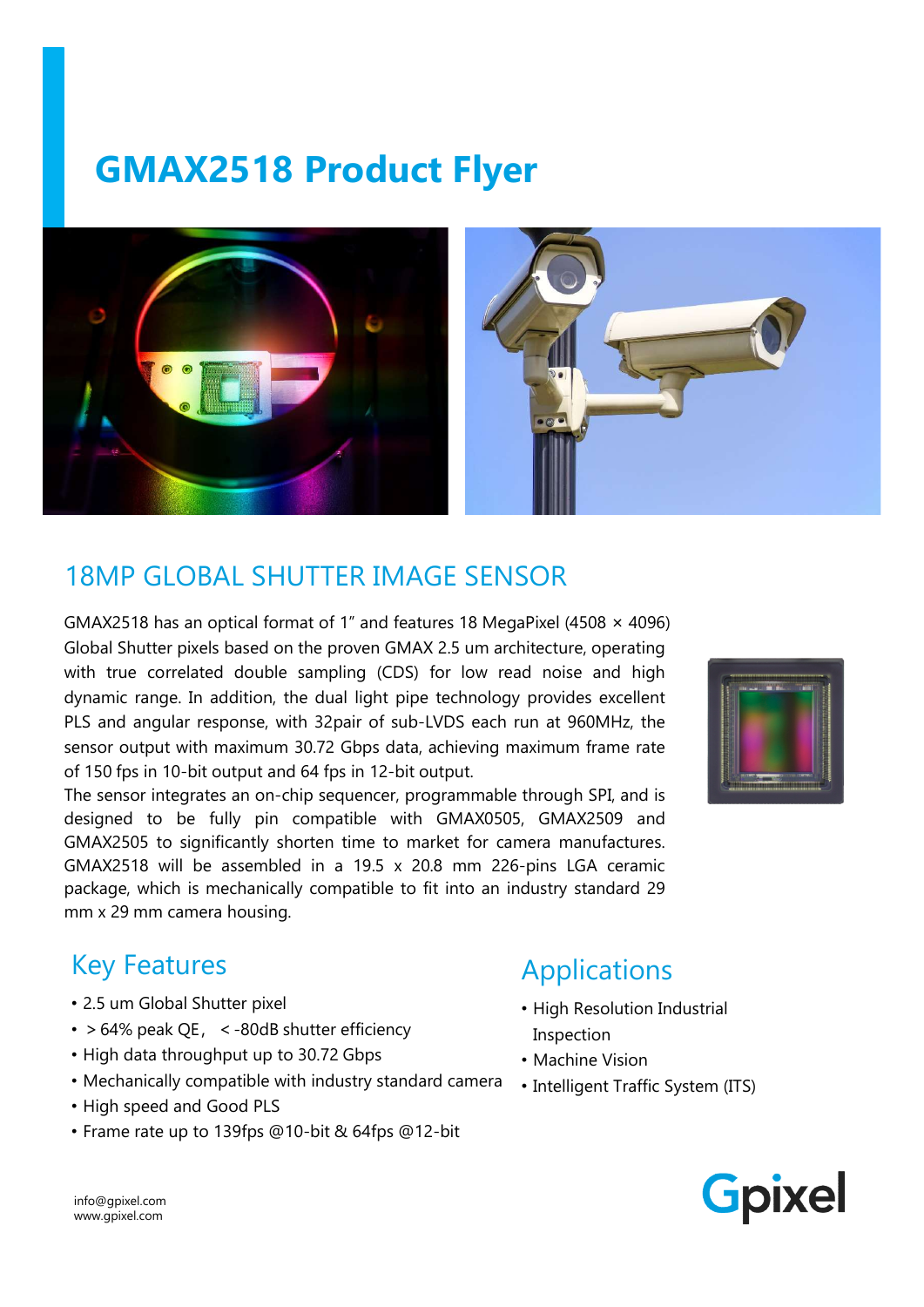# GMAX2518 Product Flyer



### 18MP GLOBAL SHUTTER IMAGE SENSOR

GMAX2518 has an optical format of 1" and features 18 MegaPixel (4508 × 4096) Global Shutter pixels based on the proven GMAX 2.5 um architecture, operating with true correlated double sampling (CDS) for low read noise and high dynamic range. In addition, the dual light pipe technology provides excellent PLS and angular response, with 32pair of sub-LVDS each run at 960MHz, the sensor output with maximum 30.72 Gbps data, achieving maximum frame rate of 150 fps in 10-bit output and 64 fps in 12-bit output.

The sensor integrates an on-chip sequencer, programmable through SPI, and is designed to be fully pin compatible with GMAX0505, GMAX2509 and GMAX2505 to significantly shorten time to market for camera manufactures. GMAX2518 will be assembled in a 19.5 x 20.8 mm 226-pins LGA ceramic package, which is mechanically compatible to fit into an industry standard 29 mm x 29 mm camera housing.



#### Key Features

- 2.5 um Global Shutter pixel
- $\cdot$  > 64% peak QE, < -80dB shutter efficiency
- High data throughput up to 30.72 Gbps
- Mechanically compatible with industry standard camera
- High speed and Good PLS
- Frame rate up to 139fps @10-bit & 64fps @12-bit

## Applications

- High Resolution Industrial Inspection
- Machine Vision
- Intelligent Traffic System (ITS)



info@gpixel.com www.gpixel.com